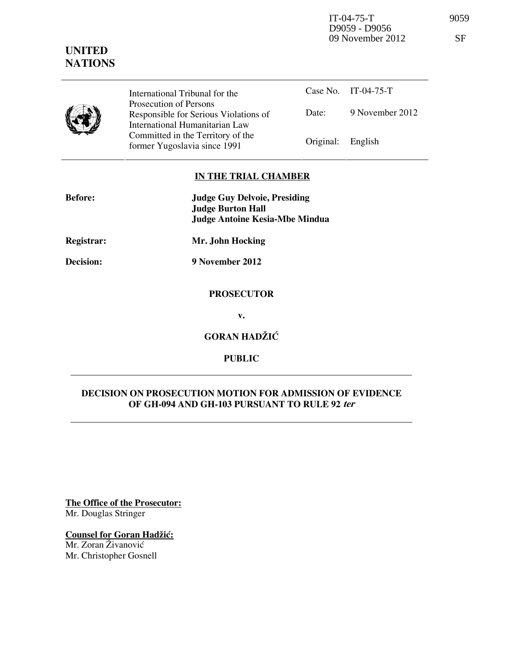IT-04-75-T 9059 D9059 - D9056 09 November 2012 SF

# **UNITED NATIONS**

| International Tribunal for the                                                                      |                   | Case No. IT-04-75-T |
|-----------------------------------------------------------------------------------------------------|-------------------|---------------------|
| Prosecution of Persons<br>Responsible for Serious Violations of                                     | Date:             | 9 November 2012     |
| International Humanitarian Law<br>Committed in the Territory of the<br>former Yugoslavia since 1991 | Original: English |                     |

## **IN THE TRIAL CHAMBER**

| <b>Before:</b> | <b>Judge Guy Delvoie, Presiding</b><br><b>Judge Burton Hall</b> |  |  |
|----------------|-----------------------------------------------------------------|--|--|
|                | <b>Judge Antoine Kesia-Mbe Mindua</b>                           |  |  |
| Registrar:     | Mr. John Hocking                                                |  |  |
| Decision:      | 9 November 2012                                                 |  |  |
|                | <b>PROSECUTOR</b>                                               |  |  |
|                | v.                                                              |  |  |
|                | <b>GORAN HADŽIĆ</b>                                             |  |  |

**PUBLIC** 

# **DECISION ON PROSECUTION MOTION FOR ADMISSION OF EVIDENCE OF GH-094 AND GH-103 PURSUANT TO RULE 92 ter**

**The Office of the Prosecutor:** Mr. Douglas Stringer

**Counsel for Goran Hadžić:** 

Mr. Zoran Živanović Mr. Christopher Gosnell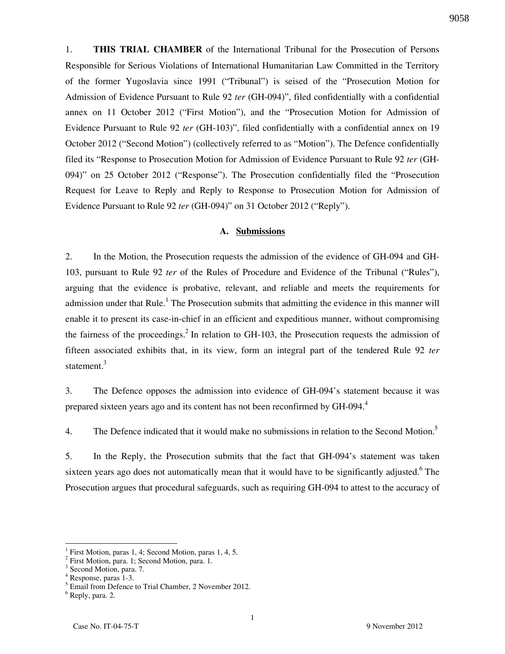9058

1. **THIS TRIAL CHAMBER** of the International Tribunal for the Prosecution of Persons Responsible for Serious Violations of International Humanitarian Law Committed in the Territory of the former Yugoslavia since 1991 ("Tribunal") is seised of the "Prosecution Motion for Admission of Evidence Pursuant to Rule 92 *ter* (GH-094)", filed confidentially with a confidential annex on 11 October 2012 ("First Motion"), and the "Prosecution Motion for Admission of Evidence Pursuant to Rule 92 *ter* (GH-103)", filed confidentially with a confidential annex on 19 October 2012 ("Second Motion") (collectively referred to as "Motion"). The Defence confidentially filed its "Response to Prosecution Motion for Admission of Evidence Pursuant to Rule 92 *ter* (GH-094)" on 25 October 2012 ("Response"). The Prosecution confidentially filed the "Prosecution Request for Leave to Reply and Reply to Response to Prosecution Motion for Admission of Evidence Pursuant to Rule 92 *ter* (GH-094)" on 31 October 2012 ("Reply").

#### **A. Submissions**

2. In the Motion, the Prosecution requests the admission of the evidence of GH-094 and GH-103, pursuant to Rule 92 *ter* of the Rules of Procedure and Evidence of the Tribunal ("Rules"), arguing that the evidence is probative, relevant, and reliable and meets the requirements for admission under that Rule.<sup>1</sup> The Prosecution submits that admitting the evidence in this manner will enable it to present its case-in-chief in an efficient and expeditious manner, without compromising the fairness of the proceedings.<sup>2</sup> In relation to GH-103, the Prosecution requests the admission of fifteen associated exhibits that, in its view, form an integral part of the tendered Rule 92 *ter* statement.<sup>3</sup>

3. The Defence opposes the admission into evidence of GH-094's statement because it was prepared sixteen years ago and its content has not been reconfirmed by GH-094.<sup>4</sup>

4. The Defence indicated that it would make no submissions in relation to the Second Motion.<sup>5</sup>

5. In the Reply, the Prosecution submits that the fact that GH-094's statement was taken sixteen years ago does not automatically mean that it would have to be significantly adjusted. <sup>6</sup> The Prosecution argues that procedural safeguards, such as requiring GH-094 to attest to the accuracy of

 $\overline{a}$ 

<sup>1</sup> First Motion, paras 1, 4; Second Motion, paras 1, 4, 5.

<sup>&</sup>lt;sup>2</sup> First Motion, para. 1; Second Motion, para. 1.

<sup>&</sup>lt;sup>3</sup> Second Motion, para. 7.

<sup>4</sup> Response, paras 1-3.

<sup>&</sup>lt;sup>5</sup> Email from Defence to Trial Chamber, 2 November 2012.

<sup>6</sup> Reply, para. 2.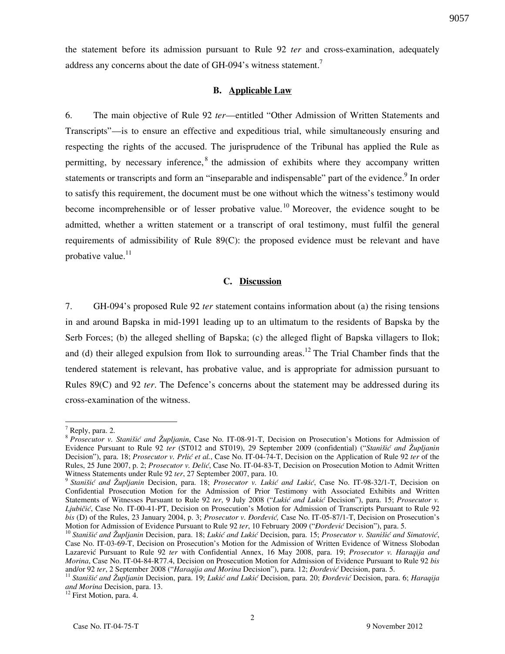the statement before its admission pursuant to Rule 92 *ter* and cross-examination, adequately address any concerns about the date of GH-094's witness statement.<sup>7</sup>

### **B. Applicable Law**

6. The main objective of Rule 92 *ter*—entitled "Other Admission of Written Statements and Transcripts"—is to ensure an effective and expeditious trial, while simultaneously ensuring and respecting the rights of the accused. The jurisprudence of the Tribunal has applied the Rule as permitting, by necessary inference, <sup>8</sup> the admission of exhibits where they accompany written statements or transcripts and form an "inseparable and indispensable" part of the evidence. In order to satisfy this requirement, the document must be one without which the witness's testimony would become incomprehensible or of lesser probative value.<sup>10</sup> Moreover, the evidence sought to be admitted, whether a written statement or a transcript of oral testimony, must fulfil the general requirements of admissibility of Rule 89(C): the proposed evidence must be relevant and have probative value. $^{11}$ 

### **C. Discussion**

7. GH-094's proposed Rule 92 *ter* statement contains information about (a) the rising tensions in and around Bapska in mid-1991 leading up to an ultimatum to the residents of Bapska by the Serb Forces; (b) the alleged shelling of Bapska; (c) the alleged flight of Bapska villagers to Ilok; and (d) their alleged expulsion from Ilok to surrounding areas.<sup>12</sup> The Trial Chamber finds that the tendered statement is relevant, has probative value, and is appropriate for admission pursuant to Rules 89(C) and 92 *ter*. The Defence's concerns about the statement may be addressed during its cross-examination of the witness.

 $\overline{a}$ 

<sup>12</sup> First Motion, para. 4.

 $<sup>7</sup>$  Reply, para. 2.</sup>

<sup>8</sup> *Prosecutor v. Stanišić and Župljanin*, Case No. IT-08-91-T, Decision on Prosecution's Motions for Admission of Evidence Pursuant to Rule 92 *ter* (ST012 and ST019), 29 September 2009 (confidential) ("*Stanišić and Župljanin* Decision"), para. 18; *Prosecutor v. Prlić et al.*, Case No. IT-04-74-T, Decision on the Application of Rule 92 *ter* of the Rules, 25 June 2007, p. 2; *Prosecutor v. Delić*, Case No. IT-04-83-T, Decision on Prosecution Motion to Admit Written Witness Statements under Rule 92 *ter*, 27 September 2007, para. 10.

<sup>&</sup>lt;sup>9</sup> Stanišić and Župljanin Decision, para. 18; *Prosecutor v. Lukić and Lukić*, Case No. IT-98-32/1-T, Decision on Confidential Prosecution Motion for the Admission of Prior Testimony with Associated Exhibits and Written Statements of Witnesses Pursuant to Rule 92 ter, 9 July 2008 ("Lukić and Lukić Decision"), para. 15; *Prosecutor v. Ljubičić*, Case No. IT-00-41-PT, Decision on Prosecution's Motion for Admission of Transcripts Pursuant to Rule 92 *bis* (D) of the Rules, 23 January 2004, p. 3; *Prosecutor v. Đorđević*, Case No. IT-05-87/1-T, Decision on Prosecution's Motion for Admission of Evidence Pursuant to Rule 92 ter, 10 February 2009 ("*Đorđević* Decision"), para. 5.

<sup>&</sup>lt;sup>10</sup> Stanišić and Župljanin Decision, para. 18; Lukić and Lukić Decision, para. 15; Prosecutor v. Stanišić and Simatović, Case No. IT-03-69-T, Decision on Prosecution's Motion for the Admission of Written Evidence of Witness Slobodan Lazarevi} Pursuant to Rule 92 *ter* with Confidential Annex, 16 May 2008, para. 19; *Prosecutor v. Haraqija and Morina*, Case No. IT-04-84-R77.4, Decision on Prosecution Motion for Admission of Evidence Pursuant to Rule 92 *bis* and/or 92 ter, 2 September 2008 ("Haraqija and Morina Decision"), para. 12; *Đorđević* Decision, para. 5.

<sup>&</sup>lt;sup>11</sup> Stanišić and Župljanin Decision, para. 19; Lukić and Lukić Decision, para. 20; *Đorđević* Decision, para. 6; *Haraqija and Morina* Decision, para. 13.